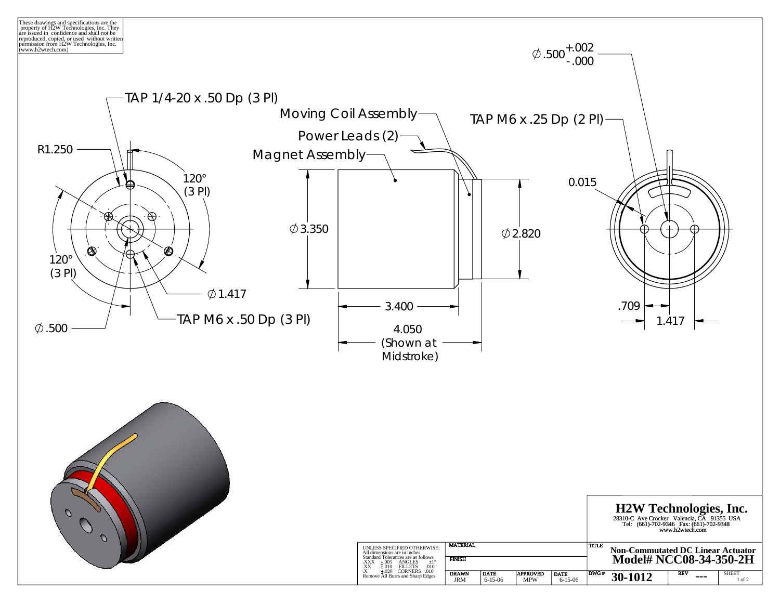